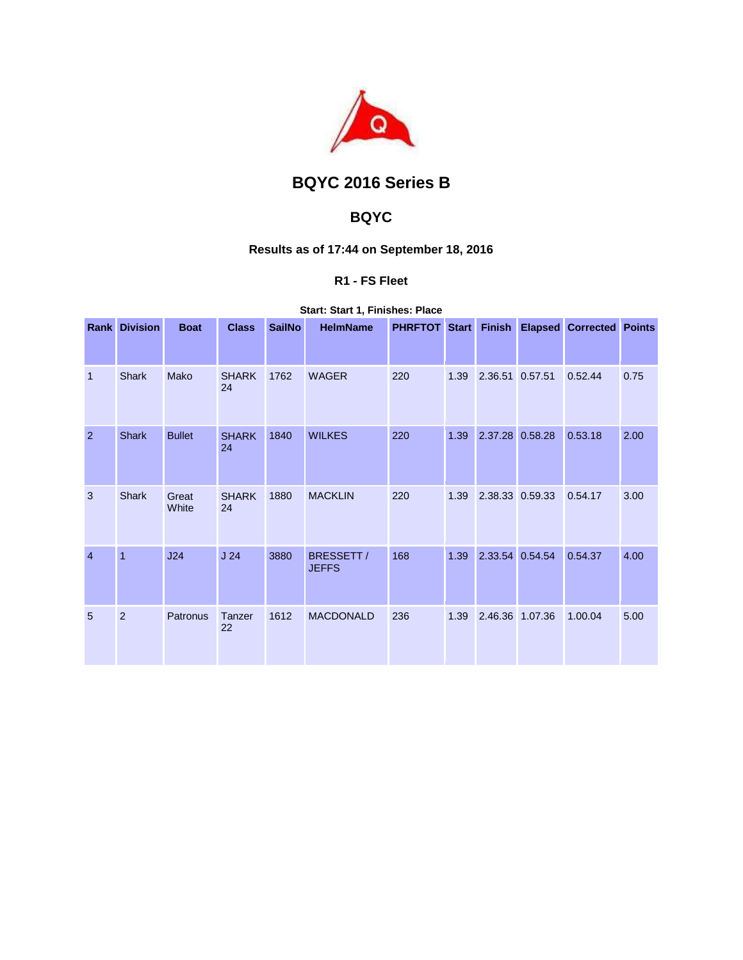

# **BQYC 2016 Series B**

## **BQYC**

### **Results as of 17:44 on September 18, 2016**

### **R1 - FS Fleet**

**Start: Start 1, Finishes: Place** 

|                | <b>Rank Division</b> | <b>Boat</b>    | <b>Class</b>       | <b>SailNo</b> | <b>HelmName</b>            | <b>PHRFTOT Start</b> |      | <b>Finish</b>   | <b>Elapsed Corrected Points</b> |      |
|----------------|----------------------|----------------|--------------------|---------------|----------------------------|----------------------|------|-----------------|---------------------------------|------|
| $\mathbf{1}$   | <b>Shark</b>         | Mako           | <b>SHARK</b><br>24 | 1762          | <b>WAGER</b>               | 220                  | 1.39 | 2.36.51 0.57.51 | 0.52.44                         | 0.75 |
| $\overline{2}$ | <b>Shark</b>         | <b>Bullet</b>  | <b>SHARK</b><br>24 | 1840          | <b>WILKES</b>              | 220                  | 1.39 | 2.37.28 0.58.28 | 0.53.18                         | 2.00 |
| 3              | <b>Shark</b>         | Great<br>White | <b>SHARK</b><br>24 | 1880          | <b>MACKLIN</b>             | 220                  | 1.39 | 2.38.33 0.59.33 | 0.54.17                         | 3.00 |
| $\overline{4}$ | $\mathbf{1}$         | J24            | J <sub>24</sub>    | 3880          | BRESSETT /<br><b>JEFFS</b> | 168                  | 1.39 | 2.33.54 0.54.54 | 0.54.37                         | 4.00 |
| 5              | $\overline{2}$       | Patronus       | Tanzer<br>22       | 1612          | <b>MACDONALD</b>           | 236                  | 1.39 | 2.46.36 1.07.36 | 1.00.04                         | 5.00 |